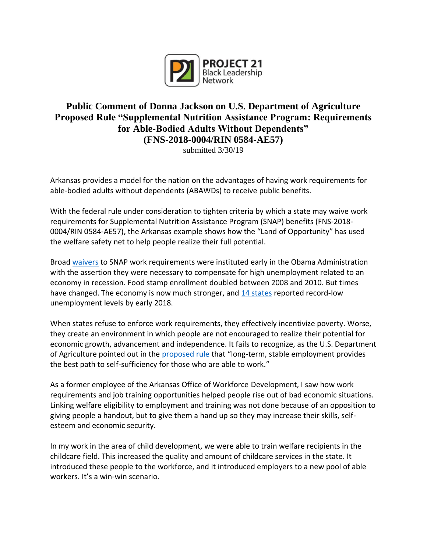

## **Public Comment of Donna Jackson on U.S. Department of Agriculture Proposed Rule "Supplemental Nutrition Assistance Program: Requirements for Able-Bodied Adults Without Dependents" (FNS-2018-0004/RIN 0584-AE57)**

submitted 3/30/19

Arkansas provides a model for the nation on the advantages of having work requirements for able-bodied adults without dependents (ABAWDs) to receive public benefits.

With the federal rule under consideration to tighten criteria by which a state may waive work requirements for Supplemental Nutrition Assistance Program (SNAP) benefits (FNS-2018- 0004/RIN 0584-AE57), the Arkansas example shows how the "Land of Opportunity" has used the welfare safety net to help people realize their full potential.

Broad [waivers](https://www.washingtonexaminer.com/crs-report-number-of-able-bodied-adults-on-food-stamps-doubled-after-obama-suspended-work-requirement#.UFnGSWiz7wx) to SNAP work requirements were instituted early in the Obama Administration with the assertion they were necessary to compensate for high unemployment related to an economy in recession. Food stamp enrollment doubled between 2008 and 2010. But times have changed. The economy is now much stronger, and [14 states](https://thehill.com/homenews/state-watch/384414-14-states-hit-record-low-unemployment) reported record-low unemployment levels by early 2018.

When states refuse to enforce work requirements, they effectively incentivize poverty. Worse, they create an environment in which people are not encouraged to realize their potential for economic growth, advancement and independence. It fails to recognize, as the U.S. Department of Agriculture pointed out in the [proposed rule](https://www.govinfo.gov/content/pkg/FR-2019-02-01/pdf/2018-28059.pdf) that "long-term, stable employment provides the best path to self-sufficiency for those who are able to work."

As a former employee of the Arkansas Office of Workforce Development, I saw how work requirements and job training opportunities helped people rise out of bad economic situations. Linking welfare eligibility to employment and training was not done because of an opposition to giving people a handout, but to give them a hand up so they may increase their skills, selfesteem and economic security.

In my work in the area of child development, we were able to train welfare recipients in the childcare field. This increased the quality and amount of childcare services in the state. It introduced these people to the workforce, and it introduced employers to a new pool of able workers. It's a win-win scenario.